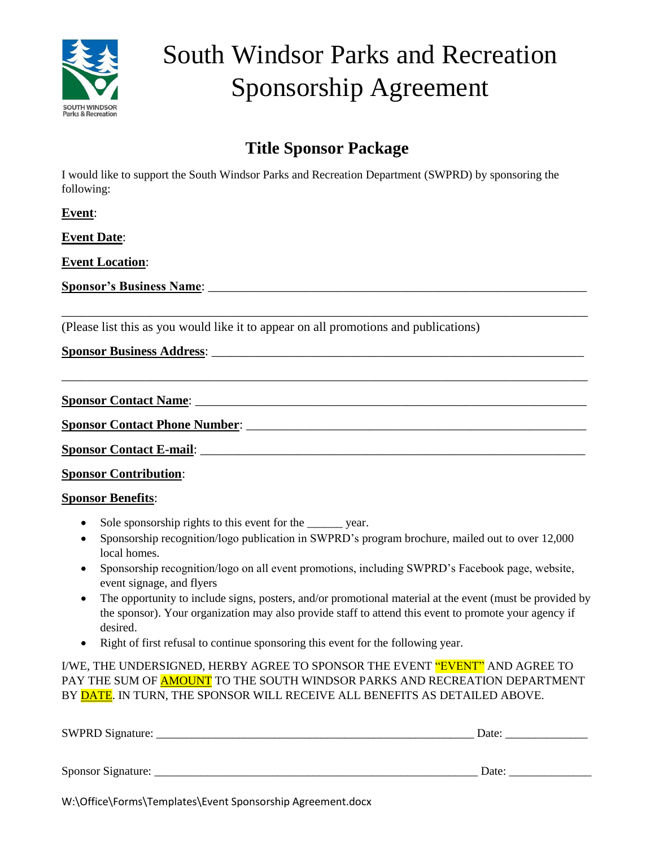

## South Windsor Parks and Recreation Sponsorship Agreement

## **Title Sponsor Package**

\_\_\_\_\_\_\_\_\_\_\_\_\_\_\_\_\_\_\_\_\_\_\_\_\_\_\_\_\_\_\_\_\_\_\_\_\_\_\_\_\_\_\_\_\_\_\_\_\_\_\_\_\_\_\_\_\_\_\_\_\_\_\_\_\_\_\_\_\_\_\_\_\_\_\_\_\_\_\_\_\_\_

\_\_\_\_\_\_\_\_\_\_\_\_\_\_\_\_\_\_\_\_\_\_\_\_\_\_\_\_\_\_\_\_\_\_\_\_\_\_\_\_\_\_\_\_\_\_\_\_\_\_\_\_\_\_\_\_\_\_\_\_\_\_\_\_\_\_\_\_\_\_\_\_\_\_\_\_\_\_\_\_\_\_

I would like to support the South Windsor Parks and Recreation Department (SWPRD) by sponsoring the following:

**Event**:

**Event Date**:

**Event Location**:

**Sponsor's Business Name**: \_\_\_\_\_\_\_\_\_\_\_\_\_\_\_\_\_\_\_\_\_\_\_\_\_\_\_\_\_\_\_\_\_\_\_\_\_\_\_\_\_\_\_\_\_\_\_\_\_\_\_\_\_\_\_\_\_\_\_

(Please list this as you would like it to appear on all promotions and publications)

**Sponsor Business Address**: \_\_\_\_\_\_\_\_\_\_\_\_\_\_\_\_\_\_\_\_\_\_\_\_\_\_\_\_\_\_\_\_\_\_\_\_\_\_\_\_\_\_\_\_\_\_\_\_\_\_\_\_\_\_\_\_\_\_

**Sponsor Contact Name**: \_\_\_\_\_\_\_\_\_\_\_\_\_\_\_\_\_\_\_\_\_\_\_\_\_\_\_\_\_\_\_\_\_\_\_\_\_\_\_\_\_\_\_\_\_\_\_\_\_\_\_\_\_\_\_\_\_\_\_\_\_

**Sponsor Contact Phone Number**: \_\_\_\_\_\_\_\_\_\_\_\_\_\_\_\_\_\_\_\_\_\_\_\_\_\_\_\_\_\_\_\_\_\_\_\_\_\_\_\_\_\_\_\_\_\_\_\_\_\_\_\_\_

**Sponsor Contact E-mail:**  $\blacksquare$ 

**Sponsor Contribution**:

## **Sponsor Benefits**:

- Sole sponsorship rights to this event for the \_\_\_\_\_\_ year.
- Sponsorship recognition/logo publication in SWPRD's program brochure, mailed out to over 12,000 local homes.
- Sponsorship recognition/logo on all event promotions, including SWPRD's Facebook page, website, event signage, and flyers
- The opportunity to include signs, posters, and/or promotional material at the event (must be provided by the sponsor). Your organization may also provide staff to attend this event to promote your agency if desired.
- Right of first refusal to continue sponsoring this event for the following year.

I/WE, THE UNDERSIGNED, HERBY AGREE TO SPONSOR THE EVENT "EVENT" AND AGREE TO PAY THE SUM OF AMOUNT TO THE SOUTH WINDSOR PARKS AND RECREATION DEPARTMENT BY DATE. IN TURN, THE SPONSOR WILL RECEIVE ALL BENEFITS AS DETAILED ABOVE.

| SWPRD Signature:   | Date: |
|--------------------|-------|
|                    |       |
| Sponsor Signature: | Date: |
|                    |       |

W:\Office\Forms\Templates\Event Sponsorship Agreement.docx